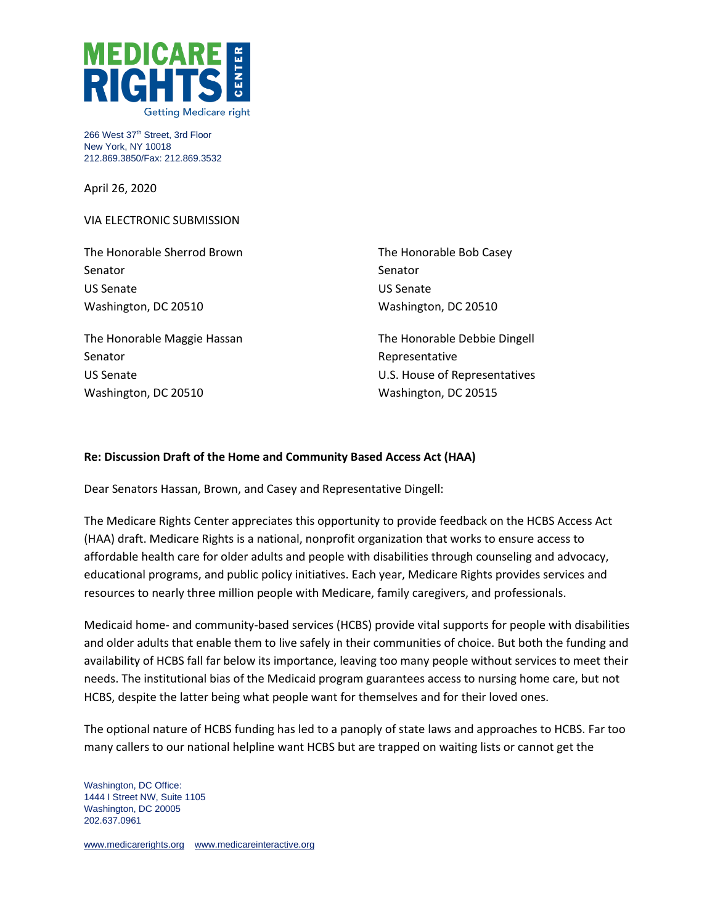

266 West 37th Street, 3rd Floor New York, NY 10018 212.869.3850/Fax: 212.869.3532

April 26, 2020

VIA ELECTRONIC SUBMISSION

The Honorable Sherrod Brown Senator US Senate Washington, DC 20510

The Honorable Maggie Hassan Senator US Senate Washington, DC 20510

The Honorable Bob Casey Senator US Senate Washington, DC 20510

The Honorable Debbie Dingell Representative U.S. House of Representatives Washington, DC 20515

## **Re: Discussion Draft of the Home and Community Based Access Act (HAA)**

Dear Senators Hassan, Brown, and Casey and Representative Dingell:

The Medicare Rights Center appreciates this opportunity to provide feedback on the HCBS Access Act (HAA) draft. Medicare Rights is a national, nonprofit organization that works to ensure access to affordable health care for older adults and people with disabilities through counseling and advocacy, educational programs, and public policy initiatives. Each year, Medicare Rights provides services and resources to nearly three million people with Medicare, family caregivers, and professionals.

Medicaid home- and community-based services (HCBS) provide vital supports for people with disabilities and older adults that enable them to live safely in their communities of choice. But both the funding and availability of HCBS fall far below its importance, leaving too many people without services to meet their needs. The institutional bias of the Medicaid program guarantees access to nursing home care, but not HCBS, despite the latter being what people want for themselves and for their loved ones.

The optional nature of HCBS funding has led to a panoply of state laws and approaches to HCBS. Far too many callers to our national helpline want HCBS but are trapped on waiting lists or cannot get the

Washington, DC Office: 1444 I Street NW, Suite 1105 Washington, DC 20005 202.637.0961

[www.medicarerights.org](http://www.medicarerights.org/) [www.medicareinteractive.org](http://www.medicareinteractive.org/)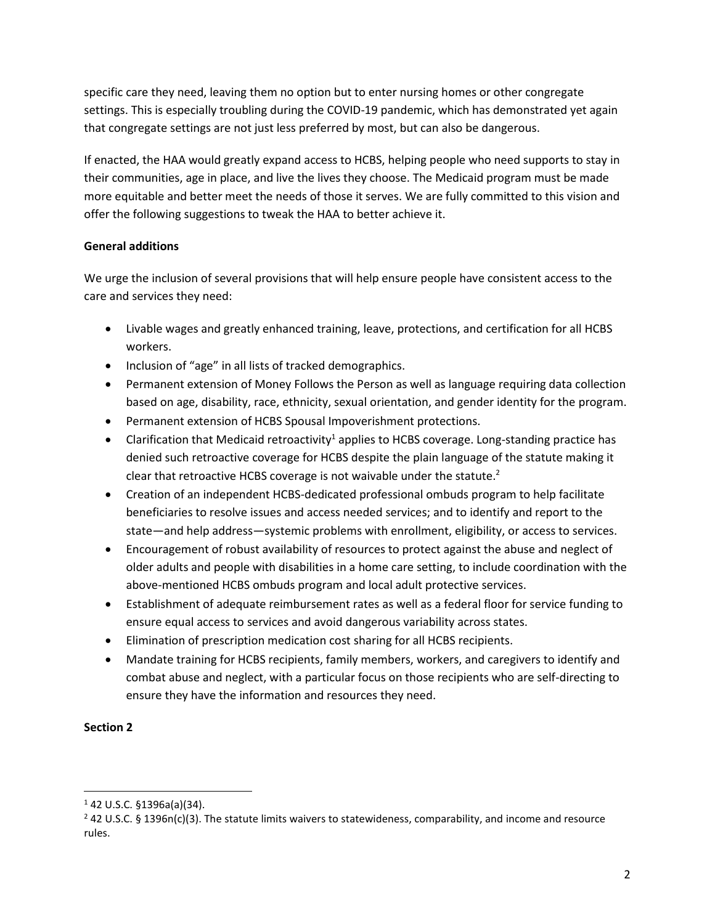specific care they need, leaving them no option but to enter nursing homes or other congregate settings. This is especially troubling during the COVID-19 pandemic, which has demonstrated yet again that congregate settings are not just less preferred by most, but can also be dangerous.

If enacted, the HAA would greatly expand access to HCBS, helping people who need supports to stay in their communities, age in place, and live the lives they choose. The Medicaid program must be made more equitable and better meet the needs of those it serves. We are fully committed to this vision and offer the following suggestions to tweak the HAA to better achieve it.

## **General additions**

We urge the inclusion of several provisions that will help ensure people have consistent access to the care and services they need:

- Livable wages and greatly enhanced training, leave, protections, and certification for all HCBS workers.
- Inclusion of "age" in all lists of tracked demographics.
- Permanent extension of Money Follows the Person as well as language requiring data collection based on age, disability, race, ethnicity, sexual orientation, and gender identity for the program.
- Permanent extension of HCBS Spousal Impoverishment protections.
- Clarification that Medicaid retroactivity<sup>1</sup> applies to HCBS coverage. Long-standing practice has denied such retroactive coverage for HCBS despite the plain language of the statute making it clear that retroactive HCBS coverage is not waivable under the statute.<sup>2</sup>
- Creation of an independent HCBS-dedicated professional ombuds program to help facilitate beneficiaries to resolve issues and access needed services; and to identify and report to the state—and help address—systemic problems with enrollment, eligibility, or access to services.
- Encouragement of robust availability of resources to protect against the abuse and neglect of older adults and people with disabilities in a home care setting, to include coordination with the above-mentioned HCBS ombuds program and local adult protective services.
- Establishment of adequate reimbursement rates as well as a federal floor for service funding to ensure equal access to services and avoid dangerous variability across states.
- Elimination of prescription medication cost sharing for all HCBS recipients.
- Mandate training for HCBS recipients, family members, workers, and caregivers to identify and combat abuse and neglect, with a particular focus on those recipients who are self-directing to ensure they have the information and resources they need.

## **Section 2**

<sup>1</sup> 42 U.S.C. §1396a(a)(34).

 $^{2}$  42 U.S.C. § 1396n(c)(3). The statute limits waivers to statewideness, comparability, and income and resource rules.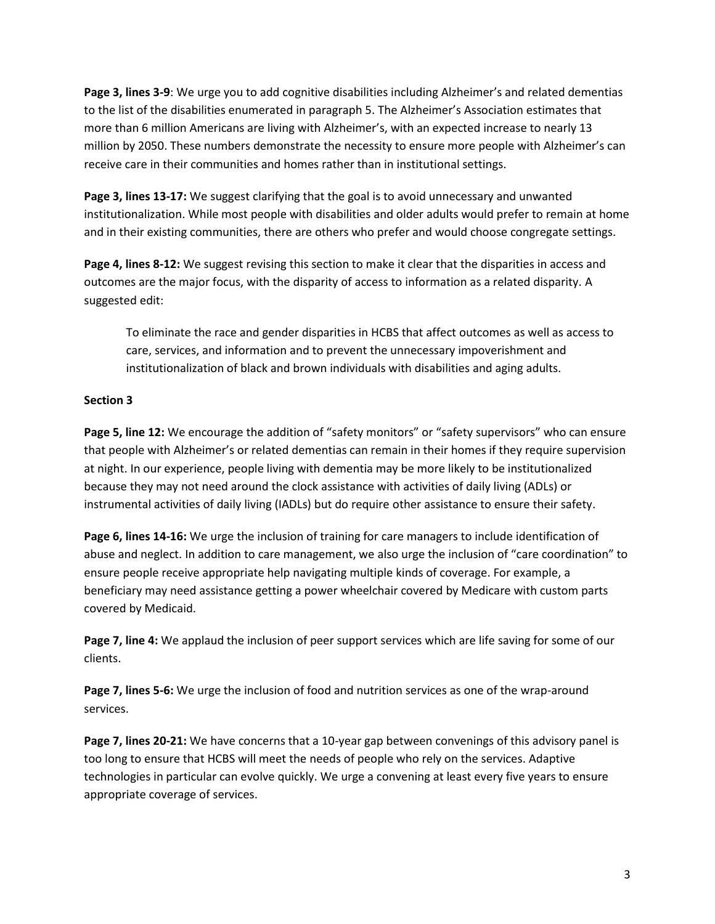**Page 3, lines 3-9**: We urge you to add cognitive disabilities including Alzheimer's and related dementias to the list of the disabilities enumerated in paragraph 5. The Alzheimer's Association estimates that more than 6 million Americans are living with Alzheimer's, with an expected increase to nearly 13 million by 2050. These numbers demonstrate the necessity to ensure more people with Alzheimer's can receive care in their communities and homes rather than in institutional settings.

**Page 3, lines 13-17:** We suggest clarifying that the goal is to avoid unnecessary and unwanted institutionalization. While most people with disabilities and older adults would prefer to remain at home and in their existing communities, there are others who prefer and would choose congregate settings.

**Page 4, lines 8-12:** We suggest revising this section to make it clear that the disparities in access and outcomes are the major focus, with the disparity of access to information as a related disparity. A suggested edit:

To eliminate the race and gender disparities in HCBS that affect outcomes as well as access to care, services, and information and to prevent the unnecessary impoverishment and institutionalization of black and brown individuals with disabilities and aging adults.

## **Section 3**

**Page 5, line 12:** We encourage the addition of "safety monitors" or "safety supervisors" who can ensure that people with Alzheimer's or related dementias can remain in their homes if they require supervision at night. In our experience, people living with dementia may be more likely to be institutionalized because they may not need around the clock assistance with activities of daily living (ADLs) or instrumental activities of daily living (IADLs) but do require other assistance to ensure their safety.

**Page 6, lines 14-16:** We urge the inclusion of training for care managers to include identification of abuse and neglect. In addition to care management, we also urge the inclusion of "care coordination" to ensure people receive appropriate help navigating multiple kinds of coverage. For example, a beneficiary may need assistance getting a power wheelchair covered by Medicare with custom parts covered by Medicaid.

**Page 7, line 4:** We applaud the inclusion of peer support services which are life saving for some of our clients.

**Page 7, lines 5-6:** We urge the inclusion of food and nutrition services as one of the wrap-around services.

**Page 7, lines 20-21:** We have concerns that a 10-year gap between convenings of this advisory panel is too long to ensure that HCBS will meet the needs of people who rely on the services. Adaptive technologies in particular can evolve quickly. We urge a convening at least every five years to ensure appropriate coverage of services.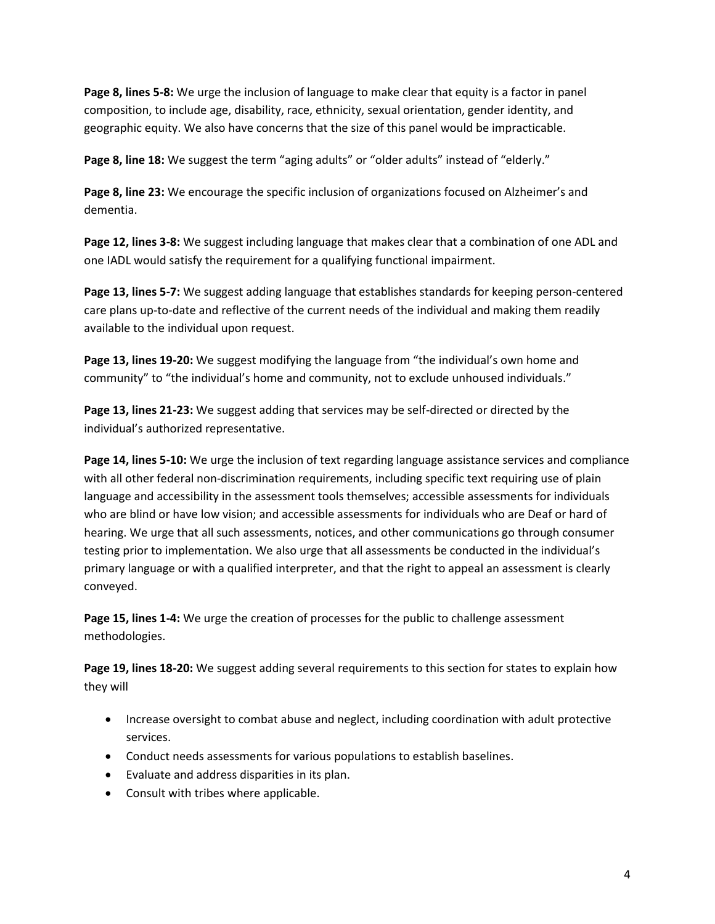**Page 8, lines 5-8:** We urge the inclusion of language to make clear that equity is a factor in panel composition, to include age, disability, race, ethnicity, sexual orientation, gender identity, and geographic equity. We also have concerns that the size of this panel would be impracticable.

Page 8, line 18: We suggest the term "aging adults" or "older adults" instead of "elderly."

**Page 8, line 23:** We encourage the specific inclusion of organizations focused on Alzheimer's and dementia.

**Page 12, lines 3-8:** We suggest including language that makes clear that a combination of one ADL and one IADL would satisfy the requirement for a qualifying functional impairment.

**Page 13, lines 5-7:** We suggest adding language that establishes standards for keeping person-centered care plans up-to-date and reflective of the current needs of the individual and making them readily available to the individual upon request.

**Page 13, lines 19-20:** We suggest modifying the language from "the individual's own home and community" to "the individual's home and community, not to exclude unhoused individuals."

**Page 13, lines 21-23:** We suggest adding that services may be self-directed or directed by the individual's authorized representative.

**Page 14, lines 5-10:** We urge the inclusion of text regarding language assistance services and compliance with all other federal non-discrimination requirements, including specific text requiring use of plain language and accessibility in the assessment tools themselves; accessible assessments for individuals who are blind or have low vision; and accessible assessments for individuals who are Deaf or hard of hearing. We urge that all such assessments, notices, and other communications go through consumer testing prior to implementation. We also urge that all assessments be conducted in the individual's primary language or with a qualified interpreter, and that the right to appeal an assessment is clearly conveyed.

**Page 15, lines 1-4:** We urge the creation of processes for the public to challenge assessment methodologies.

**Page 19, lines 18-20:** We suggest adding several requirements to this section for states to explain how they will

- Increase oversight to combat abuse and neglect, including coordination with adult protective services.
- Conduct needs assessments for various populations to establish baselines.
- Evaluate and address disparities in its plan.
- Consult with tribes where applicable.